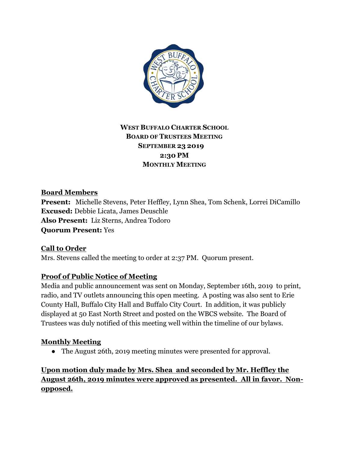

## **WEST BUFFALO CHARTER SCHOOL BOARD OF TRUSTEES MEETING SEPTEMBER 23 2019 2:30 PM MONTHLY MEETING**

### **Board Members**

**Present:** Michelle Stevens, Peter Heffley, Lynn Shea, Tom Schenk, Lorrei DiCamillo **Excused:** Debbie Licata, James Deuschle **Also Present:** Liz Sterns, Andrea Todoro **Quorum Present:** Yes

**Call to Order** Mrs. Stevens called the meeting to order at 2:37 PM. Quorum present.

### **Proof of Public Notice of Meeting**

Media and public announcement was sent on Monday, September 16th, 2019 to print, radio, and TV outlets announcing this open meeting. A posting was also sent to Erie County Hall, Buffalo City Hall and Buffalo City Court. In addition, it was publicly displayed at 50 East North Street and posted on the WBCS website. The Board of Trustees was duly notified of this meeting well within the timeline of our bylaws.

### **Monthly Meeting**

• The August 26th, 2019 meeting minutes were presented for approval.

# **Upon motion duly made by Mrs. Shea and seconded by Mr. Heffley the August 26th, 2019 minutes were approved as presented. All in favor. Nonopposed.**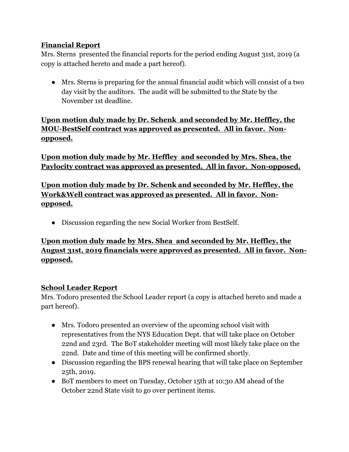### **Financial Report**

Mrs. Sterns presented the financial reports for the period ending August 31st, 2019 (a copy is attached hereto and made a part hereof).

● Mrs. Sterns is preparing for the annual financial audit which will consist of a two day visit by the auditors. The audit will be submitted to the State by the November 1st deadline.

**Upon motion duly made by Dr. Schenk and seconded by Mr. Heffley, the MOU-BestSelf contract was approved as presented. All in favor. Nonopposed.**

**Upon motion duly made by Mr. Heffley and seconded by Mrs. Shea, the Paylocity contract was approved as presented. All in favor. Non-opposed.**

**Upon motion duly made by Dr. Schenk and seconded by Mr. Heffley, the Work&Well contract was approved as presented. All in favor. Nonopposed.**

● Discussion regarding the new Social Worker from BestSelf.

## **Upon motion duly made by Mrs. Shea and seconded by Mr. Heffley, the August 31st, 2019 financials were approved as presented. All in favor. Nonopposed.**

### **School Leader Report**

Mrs. Todoro presented the School Leader report (a copy is attached hereto and made a part hereof).

- Mrs. Todoro presented an overview of the upcoming school visit with representatives from the NYS Education Dept. that will take place on October 22nd and 23rd. The BoT stakeholder meeting will most likely take place on the 22nd. Date and time of this meeting will be confirmed shortly.
- Discussion regarding the BPS renewal hearing that will take place on September 25th, 2019.
- BoT members to meet on Tuesday, October 15th at 10:30 AM ahead of the October 22nd State visit to go over pertinent items.